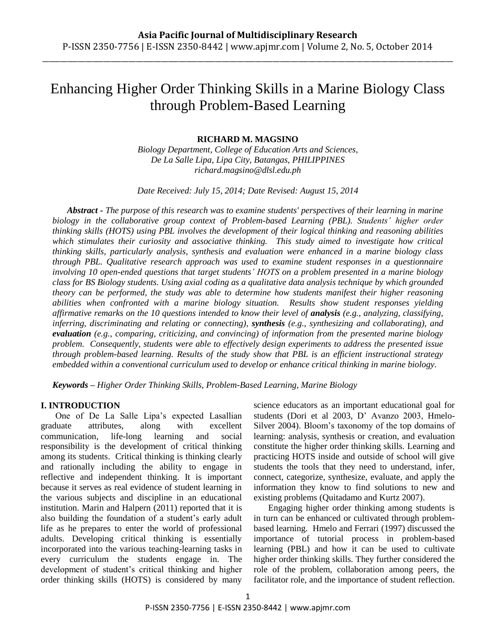\_\_\_\_\_\_\_\_\_\_\_\_\_\_\_\_\_\_\_\_\_\_\_\_\_\_\_\_\_\_\_\_\_\_\_\_\_\_\_\_\_\_\_\_\_\_\_\_\_\_\_\_\_\_\_\_\_\_\_\_\_\_\_\_\_\_\_\_\_\_\_\_\_\_\_\_\_\_\_\_\_\_\_\_\_\_\_\_\_\_\_\_\_\_\_\_\_\_\_\_\_\_\_\_\_\_\_\_\_\_\_\_\_\_

# Enhancing Higher Order Thinking Skills in a Marine Biology Class through Problem-Based Learning

#### **RICHARD M. MAGSINO**

*Biology Department, College of Education Arts and Sciences, De La Salle Lipa, Lipa City, Batangas, PHILIPPINES richard.magsino@dlsl.edu.ph*

*Date Received: July 15, 2014; Date Revised: August 15, 2014*

*Abstract - The purpose of this research was to examine students' perspectives of their learning in marine biology in the collaborative group context of Problem-based Learning (PBL). Students' higher order thinking skills (HOTS) using PBL involves the development of their logical thinking and reasoning abilities which stimulates their curiosity and associative thinking. This study aimed to investigate how critical thinking skills, particularly analysis, synthesis and evaluation were enhanced in a marine biology class through PBL. Qualitative research approach was used to examine student responses in a questionnaire involving 10 open-ended questions that target students' HOTS on a problem presented in a marine biology class for BS Biology students. Using axial coding as a qualitative data analysis technique by which grounded theory can be performed, the study was able to determine how students manifest their higher reasoning abilities when confronted with a marine biology situation. Results show student responses yielding affirmative remarks on the 10 questions intended to know their level of analysis (e.g., analyzing, classifying, inferring, discriminating and relating or connecting), synthesis (e.g., synthesizing and collaborating), and evaluation (e.g., comparing, criticizing, and convincing) of information from the presented marine biology problem. Consequently, students were able to effectively design experiments to address the presented issue through problem-based learning. Results of the study show that PBL is an efficient instructional strategy embedded within a conventional curriculum used to develop or enhance critical thinking in marine biology.* 

*Keywords – Higher Order Thinking Skills, Problem-Based Learning, Marine Biology*

### **I. INTRODUCTION**

One of De La Salle Lipa's expected Lasallian graduate attributes, along with excellent communication, life-long learning and social responsibility is the development of critical thinking among its students. Critical thinking is thinking clearly and rationally including the ability to engage in reflective and independent thinking. It is important because it serves as real evidence of student learning in the various subjects and discipline in an educational institution. Marin and Halpern (2011) reported that it is also building the foundation of a student's early adult life as he prepares to enter the world of professional adults. Developing critical thinking is essentially incorporated into the various teaching-learning tasks in every curriculum the students engage in. The development of student's critical thinking and higher order thinking skills (HOTS) is considered by many science educators as an important educational goal for students (Dori et al 2003, D' Avanzo 2003, Hmelo-Silver 2004). Bloom's taxonomy of the top domains of learning: analysis, synthesis or creation, and evaluation constitute the higher order thinking skills. Learning and practicing HOTS inside and outside of school will give students the tools that they need to understand, infer, connect, categorize, synthesize, evaluate, and apply the information they know to find solutions to new and existing problems (Quitadamo and Kurtz 2007).

Engaging higher order thinking among students is in turn can be enhanced or cultivated through problembased learning. Hmelo and Ferrari (1997) discussed the importance of tutorial process in problem-based learning (PBL) and how it can be used to cultivate higher order thinking skills. They further considered the role of the problem, collaboration among peers, the facilitator role, and the importance of student reflection.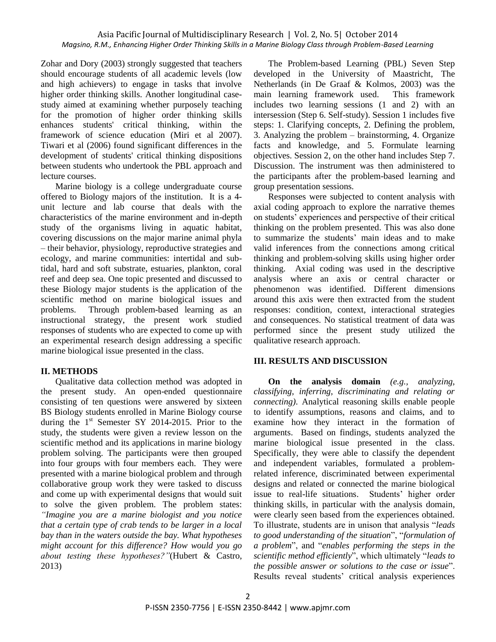#### Asia Pacific Journal of Multidisciplinary Research | Vol. 2, No. 5| October 2014 *Magsino, R.M., Enhancing Higher Order Thinking Skills in a Marine Biology Class through Problem-Based Learning*

Zohar and Dory (2003) strongly suggested that teachers should encourage students of all academic levels (low and high achievers) to engage in tasks that involve higher order thinking skills. Another longitudinal casestudy aimed at examining whether purposely teaching for the promotion of higher order thinking skills enhances students' critical thinking, within the framework of science education (Miri et al 2007). Tiwari et al (2006) found significant differences in the development of students' critical thinking dispositions between students who undertook the PBL approach and lecture courses.

Marine biology is a college undergraduate course offered to Biology majors of the institution. It is a 4 unit lecture and lab course that deals with the characteristics of the marine environment and in-depth study of the organisms living in aquatic habitat, covering discussions on the major marine animal phyla – their behavior, physiology, reproductive strategies and ecology, and marine communities: intertidal and subtidal, hard and soft substrate, estuaries, plankton, coral reef and deep sea. One topic presented and discussed to these Biology major students is the application of the scientific method on marine biological issues and problems. Through problem-based learning as an instructional strategy, the present work studied responses of students who are expected to come up with an experimental research design addressing a specific marine biological issue presented in the class.

#### **II. METHODS**

Qualitative data collection method was adopted in the present study. An open-ended questionnaire consisting of ten questions were answered by sixteen BS Biology students enrolled in Marine Biology course during the  $1<sup>st</sup>$  Semester SY 2014-2015. Prior to the study, the students were given a review lesson on the scientific method and its applications in marine biology problem solving. The participants were then grouped into four groups with four members each. They were presented with a marine biological problem and through collaborative group work they were tasked to discuss and come up with experimental designs that would suit to solve the given problem. The problem states: *"Imagine you are a marine biologist and you notice that a certain type of crab tends to be larger in a local bay than in the waters outside the bay. What hypotheses might account for this difference? How would you go about testing these hypotheses?"*(Hubert & Castro, 2013)

The Problem-based Learning (PBL) Seven Step developed in the University of Maastricht, The Netherlands (in De Graaf & Kolmos, 2003) was the main learning framework used. This framework includes two learning sessions (1 and 2) with an intersession (Step 6. Self-study). Session 1 includes five steps: 1. Clarifying concepts, 2. Defining the problem, 3. Analyzing the problem – brainstorming, 4. Organize facts and knowledge, and 5. Formulate learning objectives. Session 2, on the other hand includes Step 7. Discussion. The instrument was then administered to the participants after the problem-based learning and group presentation sessions.

Responses were subjected to content analysis with axial coding approach to explore the narrative themes on students' experiences and perspective of their critical thinking on the problem presented. This was also done to summarize the students' main ideas and to make valid inferences from the connections among critical thinking and problem-solving skills using higher order thinking. Axial coding was used in the descriptive analysis where an axis or central character or phenomenon was identified. Different dimensions around this axis were then extracted from the student responses: condition, context, interactional strategies and consequences. No statistical treatment of data was performed since the present study utilized the qualitative research approach.

## **III. RESULTS AND DISCUSSION**

**On the analysis domain** *(e.g., analyzing, classifying, inferring, discriminating and relating or connecting)*. Analytical reasoning skills enable people to identify assumptions, reasons and claims, and to examine how they interact in the formation of arguments. Based on findings, students analyzed the marine biological issue presented in the class. Specifically, they were able to classify the dependent and independent variables, formulated a problemrelated inference, discriminated between experimental designs and related or connected the marine biological issue to real-life situations. Students' higher order thinking skills, in particular with the analysis domain, were clearly seen based from the experiences obtained. To illustrate, students are in unison that analysis ―*leads to good understanding of the situation*‖, ―*formulation of a problem*‖, and ―*enables performing the steps in the*  scientific method efficiently", which ultimately "leads to *the possible answer or solutions to the case or issue*". Results reveal students' critical analysis experiences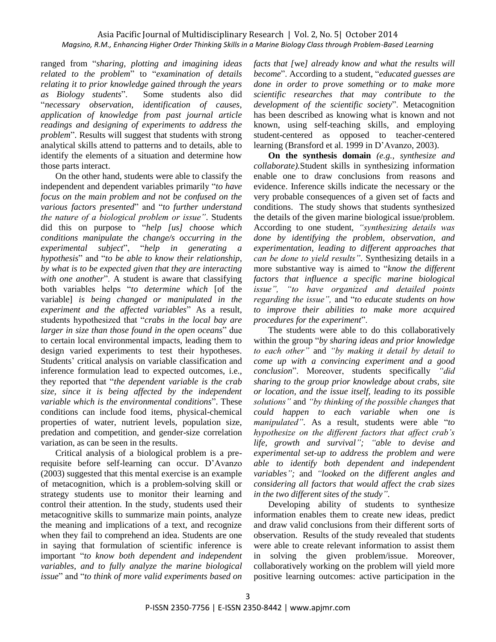ranged from ―*sharing, plotting and imagining ideas*  related to the problem" to "examination of details *relating it to prior knowledge gained through the years as Biology students*‖. Some students also did ―*necessary observation, identification of causes, application of knowledge from past journal article readings and designing of experiments to address the problem*". Results will suggest that students with strong analytical skills attend to patterns and to details, able to identify the elements of a situation and determine how those parts interact.

On the other hand, students were able to classify the independent and dependent variables primarily "to have *focus on the main problem and not be confused on the various factors presented*" and "*to further understand the nature of a biological problem or issue"*. Students did this on purpose to "help [us] choose which *conditions manipulate the change/s occurring in the experimental subject*‖, ―*help in generating a hypothesis*" and "*to be able to know their relationship*, *by what is to be expected given that they are interacting with one another*". A student is aware that classifying both variables helps ―*to determine which* [of the variable] *is being changed or manipulated in the experiment and the affected variables*‖ As a result, students hypothesized that "crabs in the local bay are *larger in size than those found in the open oceans*" due to certain local environmental impacts, leading them to design varied experiments to test their hypotheses. Students' critical analysis on variable classification and inference formulation lead to expected outcomes, i.e., they reported that ―*the dependent variable is the crab size, since it is being affected by the independent variable which is the environmental conditions*". These conditions can include food items, physical-chemical properties of water, nutrient levels, population size, predation and competition, and gender-size correlation variation, as can be seen in the results.

Critical analysis of a biological problem is a prerequisite before self-learning can occur. D'Avanzo (2003) suggested that this mental exercise is an example of metacognition, which is a problem-solving skill or strategy students use to monitor their learning and control their attention. In the study, students used their metacognitive skills to summarize main points, analyze the meaning and implications of a text, and recognize when they fail to comprehend an idea. Students are one in saying that formulation of scientific inference is important ―*to know both dependent and independent variables, and to fully analyze the marine biological*  issue" and "to think of more valid experiments based on *facts that [*we*] already know and what the results will*  become". According to a student, "*educated guesses are done in order to prove something or to make more scientific researches that may contribute to the development of the scientific society*". Metacognition has been described as knowing what is known and not known, using self-teaching skills, and employing student-centered as opposed to teacher-centered learning (Bransford et al. 1999 in D'Avanzo, 2003).

**On the synthesis domain** *(e.g., synthesize and collaborate).*Student skills in synthesizing information enable one to draw conclusions from reasons and evidence. Inference skills indicate the necessary or the very probable consequences of a given set of facts and conditions. The study shows that students synthesized the details of the given marine biological issue/problem. According to one student, *"synthesizing details was done by identifying the problem, observation, and experimentation, leading to different approaches that can be done to yield results"*. Synthesizing details in a more substantive way is aimed to "know the different *factors that influence a specific marine biological issue", "to have organized and detailed points*  regarding the issue", and "to educate students on how *to improve their abilities to make more acquired procedures for the experiment*".

The students were able to do this collaboratively within the group "by sharing ideas and prior knowledge" *to each other"* and *"by making it detail by detail to come up with a convincing experiment and a good conclusion*‖. Moreover, students specifically *"did sharing to the group prior knowledge about crabs, site or location, and the issue itself, leading to its possible solutions"* and *"by thinking of the possible changes that could happen to each variable when one is manipulated"*. As a result, students were able "to *hypothesize on the different factors that affect crab's life, growth and survival"; "able to devise and experimental set-up to address the problem and were able to identify both dependent and independent variables";* and *"looked on the different angles and considering all factors that would affect the crab sizes in the two different sites of the study"*.

Developing ability of students to synthesize information enables them to create new ideas, predict and draw valid conclusions from their different sorts of observation. Results of the study revealed that students were able to create relevant information to assist them in solving the given problem/issue. Moreover, collaboratively working on the problem will yield more positive learning outcomes: active participation in the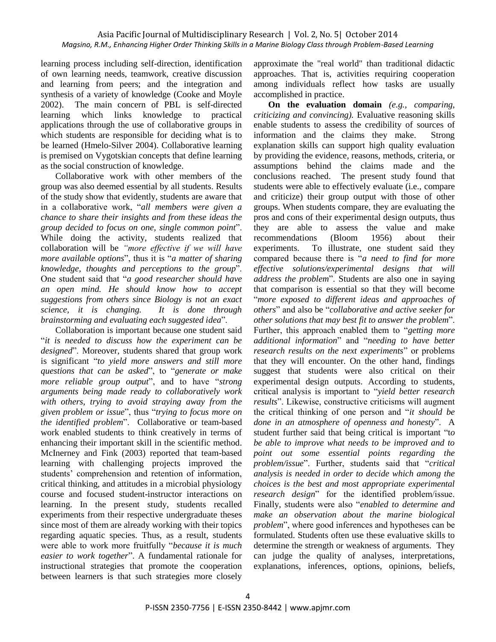learning process including self-direction, identification of own learning needs, teamwork, creative discussion and learning from peers; and the integration and synthesis of a variety of knowledge (Cooke and Moyle 2002). The main concern of PBL is self-directed learning which links knowledge to practical applications through the use of collaborative groups in which students are responsible for deciding what is to be learned (Hmelo-Silver 2004). Collaborative learning is premised on Vygotskian concepts that define learning as the social construction of knowledge.

Collaborative work with other members of the group was also deemed essential by all students. Results of the study show that evidently, students are aware that in a collaborative work, "*all members were given a chance to share their insights and from these ideas the group decided to focus on one, single common point*‖. While doing the activity, students realized that collaboration will be *"more effective if we will have more available options*", thus it is "*a matter of sharing knowledge, thoughts and perceptions to the group*". One student said that "*a good researcher should have an open mind. He should know how to accept suggestions from others since Biology is not an exact science, it is changing. It is done through brainstorming and evaluating each suggested idea*‖.

Collaboration is important because one student said ―*it is needed to discuss how the experiment can be*  designed". Moreover, students shared that group work is significant ―*to yield more answers and still more questions that can be asked*", to "*generate or make more reliable group output*", and to have "strong *arguments being made ready to collaboratively work with others, trying to avoid straying away from the given problem or issue*‖, thus ―*trying to focus more on*  the identified problem". Collaborative or team-based work enabled students to think creatively in terms of enhancing their important skill in the scientific method. McInerney and Fink (2003) reported that team-based learning with challenging projects improved the students' comprehension and retention of information, critical thinking, and attitudes in a microbial physiology course and focused student-instructor interactions on learning. In the present study, students recalled experiments from their respective undergraduate theses since most of them are already working with their topics regarding aquatic species. Thus, as a result, students were able to work more fruitfully "*because it is much* easier to work together". A fundamental rationale for instructional strategies that promote the cooperation between learners is that such strategies more closely

approximate the "real world" than traditional didactic approaches. That is, activities requiring cooperation among individuals reflect how tasks are usually accomplished in practice.

**On the evaluation domain** *(e.g., comparing, criticizing and convincing).* Evaluative reasoning skills enable students to assess the credibility of sources of information and the claims they make. Strong explanation skills can support high quality evaluation by providing the evidence, reasons, methods, criteria, or assumptions behind the claims made and the conclusions reached. The present study found that students were able to effectively evaluate (i.e., compare and criticize) their group output with those of other groups. When students compare, they are evaluating the pros and cons of their experimental design outputs, thus they are able to assess the value and make recommendations (Bloom 1956) about their experiments. To illustrate, one student said they compared because there is "*a need to find for more effective solutions/experimental designs that will address the problem*". Students are also one in saying that comparison is essential so that they will become ―*more exposed to different ideas and approaches of others*‖ and also be ―*collaborative and active seeker for other solutions that may best fit to answer the problem*". Further, this approach enabled them to "*getting more additional information*‖ and ―*needing to have better research results on the next experiments*" or problems that they will encounter. On the other hand, findings suggest that students were also critical on their experimental design outputs. According to students, critical analysis is important to "*yield better research results*". Likewise, constructive criticisms will augment the critical thinking of one person and "*it should be done in an atmosphere of openness and honesty*". A student further said that being critical is important "to" *be able to improve what needs to be improved and to point out some essential points regarding the problem/issue*‖. Further, students said that ―*critical analysis is needed in order to decide which among the choices is the best and most appropriate experimental research design*" for the identified problem/issue. Finally, students were also "enabled to determine and *make an observation about the marine biological problem*", where good inferences and hypotheses can be formulated. Students often use these evaluative skills to determine the strength or weakness of arguments. They can judge the quality of analyses, interpretations, explanations, inferences, options, opinions, beliefs,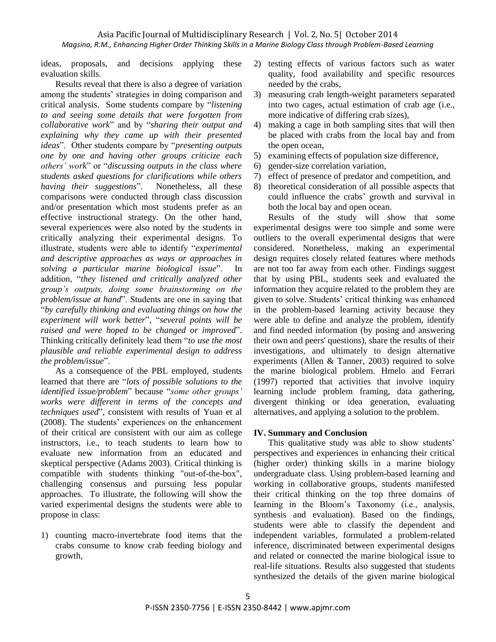ideas, proposals, and decisions applying these evaluation skills.

Results reveal that there is also a degree of variation among the students' strategies in doing comparison and critical analysis. Some students compare by "listening *to and seeing some details that were forgotten from collaborative work*‖ and by ―*sharing their output and explaining why they came up with their presented ideas*". Other students compare by "*presenting outputs one by one and having other groups criticize each others' work*" or "*discussing outputs in the class where students asked questions for clarifications while others having their suggestions*". Nonetheless, all these comparisons were conducted through class discussion and/or presentation which most students prefer as an effective instructional strategy. On the other hand, several experiences were also noted by the students in critically analyzing their experimental designs. To illustrate, students were able to identify ―*experimental and descriptive approaches as ways or approaches in*  solving a particular marine biological issue". In addition, "*they listened and critically analyzed other group's outputs, doing some brainstorming on the problem/issue at hand*". Students are one in saying that ―*by carefully thinking and evaluating things on how the experiment will work better*", "several points will be *raised and were hoped to be changed or improved*". Thinking critically definitely lead them ―*to use the most plausible and reliable experimental design to address*  the problem/issue".

As a consequence of the PBL employed, students learned that there are "lots of possible solutions to the *identified issue/problem*" because "some other groups' *works were different in terms of the concepts and techniques used*", consistent with results of Yuan et al (2008). The students' experiences on the enhancement of their critical are consistent with our aim as college instructors, i.e., to teach students to learn how to evaluate new information from an educated and skeptical perspective (Adams 2003). Critical thinking is compatible with students thinking "out-of-the-box", challenging consensus and pursuing less popular approaches. To illustrate, the following will show the varied experimental designs the students were able to propose in class:

1) counting macro-invertebrate food items that the crabs consume to know crab feeding biology and growth,

- 2) testing effects of various factors such as water quality, food availability and specific resources needed by the crabs,
- 3) measuring crab length-weight parameters separated into two cages, actual estimation of crab age (i.e., more indicative of differing crab sizes),
- 4) making a cage in both sampling sites that will then be placed with crabs from the local bay and from the open ocean,
- 5) examining effects of population size difference,
- 6) gender-size correlation variation,
- 7) effect of presence of predator and competition, and
- 8) theoretical consideration of all possible aspects that could influence the crabs' growth and survival in both the local bay and open ocean.

Results of the study will show that some experimental designs were too simple and some were outliers to the overall experimental designs that were considered. Nonetheless, making an experimental design requires closely related features where methods are not too far away from each other. Findings suggest that by using PBL, students seek and evaluated the information they acquire related to the problem they are given to solve. Students' critical thinking was enhanced in the problem-based learning activity because they were able to define and analyze the problem, identify and find needed information (by posing and answering their own and peers' questions), share the results of their investigations, and ultimately to design alternative experiments (Allen & Tanner, 2003) required to solve the marine biological problem. Hmelo and Ferrari (1997) reported that activities that involve inquiry learning include problem framing, data gathering, divergent thinking or idea generation, evaluating alternatives, and applying a solution to the problem.

# **IV. Summary and Conclusion**

This qualitative study was able to show students' perspectives and experiences in enhancing their critical (higher order) thinking skills in a marine biology undergraduate class. Using problem-based learning and working in collaborative groups, students manifested their critical thinking on the top three domains of learning in the Bloom's Taxonomy (i.e., analysis, synthesis and evaluation). Based on the findings, students were able to classify the dependent and independent variables, formulated a problem-related inference, discriminated between experimental designs and related or connected the marine biological issue to real-life situations. Results also suggested that students synthesized the details of the given marine biological